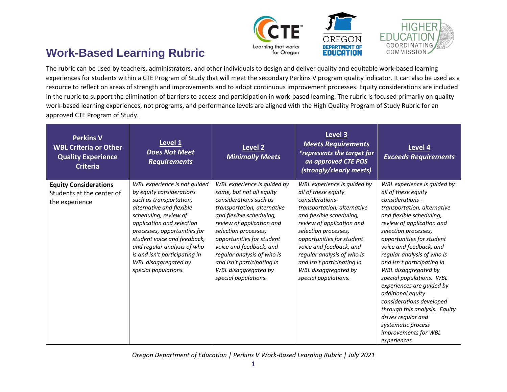

## **Work-Based Learning Rubric**

The rubric can be used by teachers, administrators, and other individuals to design and deliver quality and equitable work-based learning experiences for students within a CTE Program of Study that will meet the secondary Perkins V program quality indicator. It can also be used as a resource to reflect on areas of strength and improvements and to adopt continuous improvement processes. Equity considerations are included in the rubric to support the elimination of barriers to access and participation in work-based learning. The rubric is focused primarily on quality work-based learning experiences, not programs, and performance levels are aligned with the High Quality Program of Study Rubric for an approved CTE Program of Study.

| <b>Perkins V</b><br><b>WBL Criteria or Other</b><br><b>Quality Experience</b><br><b>Criteria</b> | Level 1<br><b>Does Not Meet</b><br><b>Requirements</b>                                                                                                                                                                                                                                                                                               | Level <sub>2</sub><br><b>Minimally Meets</b>                                                                                                                                                                                                                                                                                                                          | Level 3<br><b>Meets Requirements</b><br><i>*represents the target for</i><br>an approved CTE POS<br>(strongly/clearly meets)                                                                                                                                                                                                                              | Level 4<br><b>Exceeds Requirements</b>                                                                                                                                                                                                                                                                                                                                                                                                                                                                                                                            |
|--------------------------------------------------------------------------------------------------|------------------------------------------------------------------------------------------------------------------------------------------------------------------------------------------------------------------------------------------------------------------------------------------------------------------------------------------------------|-----------------------------------------------------------------------------------------------------------------------------------------------------------------------------------------------------------------------------------------------------------------------------------------------------------------------------------------------------------------------|-----------------------------------------------------------------------------------------------------------------------------------------------------------------------------------------------------------------------------------------------------------------------------------------------------------------------------------------------------------|-------------------------------------------------------------------------------------------------------------------------------------------------------------------------------------------------------------------------------------------------------------------------------------------------------------------------------------------------------------------------------------------------------------------------------------------------------------------------------------------------------------------------------------------------------------------|
| <b>Equity Considerations</b><br>Students at the center of<br>the experience                      | WBL experience is not guided<br>by equity considerations<br>such as transportation,<br>alternative and flexible<br>scheduling, review of<br>application and selection<br>processes, opportunities for<br>student voice and feedback,<br>and regular analysis of who<br>is and isn't participating in<br>WBL disaggregated by<br>special populations. | WBL experience is guided by<br>some, but not all equity<br>considerations such as<br>transportation, alternative<br>and flexible scheduling,<br>review of application and<br>selection processes,<br>opportunities for student<br>voice and feedback, and<br>regular analysis of who is<br>and isn't participating in<br>WBL disaggregated by<br>special populations. | WBL experience is guided by<br>all of these equity<br>considerations-<br>transportation, alternative<br>and flexible scheduling,<br>review of application and<br>selection processes,<br>opportunities for student<br>voice and feedback, and<br>regular analysis of who is<br>and isn't participating in<br>WBL disaggregated by<br>special populations. | WBL experience is guided by<br>all of these equity<br>considerations -<br>transportation, alternative<br>and flexible scheduling,<br>review of application and<br>selection processes,<br>opportunities for student<br>voice and feedback, and<br>regular analysis of who is<br>and isn't participating in<br>WBL disaggregated by<br>special populations. WBL<br>experiences are guided by<br>additional equity<br>considerations developed<br>through this analysis. Equity<br>drives regular and<br>systematic process<br>improvements for WBL<br>experiences. |

*Oregon Department of Education | Perkins V Work-Based Learning Rubric | July 2021*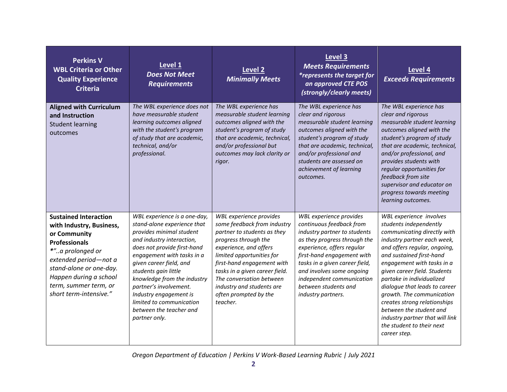| <b>Perkins V</b><br><b>WBL Criteria or Other</b><br><b>Quality Experience</b><br><b>Criteria</b>                                                                                                                                                      | Level 1<br><b>Does Not Meet</b><br><b>Requirements</b>                                                                                                                                                                                                                                                                                                                                          | <b>Level 2</b><br><b>Minimally Meets</b>                                                                                                                                                                                                                                                                                           | Level 3<br><b>Meets Requirements</b><br><i>*represents the target for</i><br>an approved CTE POS<br>(strongly/clearly meets)                                                                                                                                                                                              | Level 4<br><b>Exceeds Requirements</b>                                                                                                                                                                                                                                                                                                                                                                                                                                          |
|-------------------------------------------------------------------------------------------------------------------------------------------------------------------------------------------------------------------------------------------------------|-------------------------------------------------------------------------------------------------------------------------------------------------------------------------------------------------------------------------------------------------------------------------------------------------------------------------------------------------------------------------------------------------|------------------------------------------------------------------------------------------------------------------------------------------------------------------------------------------------------------------------------------------------------------------------------------------------------------------------------------|---------------------------------------------------------------------------------------------------------------------------------------------------------------------------------------------------------------------------------------------------------------------------------------------------------------------------|---------------------------------------------------------------------------------------------------------------------------------------------------------------------------------------------------------------------------------------------------------------------------------------------------------------------------------------------------------------------------------------------------------------------------------------------------------------------------------|
| <b>Aligned with Curriculum</b><br>and Instruction<br><b>Student learning</b><br>outcomes                                                                                                                                                              | The WBL experience does not<br>have measurable student<br>learning outcomes aligned<br>with the student's program<br>of study that are academic,<br>technical, and/or<br>professional.                                                                                                                                                                                                          | The WBL experience has<br>measurable student learning<br>outcomes aligned with the<br>student's program of study<br>that are academic, technical,<br>and/or professional but<br>outcomes may lack clarity or<br>rigor.                                                                                                             | The WBL experience has<br>clear and rigorous<br>measurable student learning<br>outcomes aligned with the<br>student's program of study<br>that are academic, technical,<br>and/or professional and<br>students are assessed on<br>achievement of learning<br>outcomes.                                                    | The WBL experience has<br>clear and rigorous<br>measurable student learning<br>outcomes aligned with the<br>student's program of study<br>that are academic, technical,<br>and/or professional, and<br>provides students with<br>regular opportunities for<br>feedback from site<br>supervisor and educator on<br>progress towards meeting<br>learning outcomes.                                                                                                                |
| <b>Sustained Interaction</b><br>with Industry, Business,<br>or Community<br><b>Professionals</b><br>*"a prolonged or<br>extended period-not a<br>stand-alone or one-day.<br>Happen during a school<br>term, summer term, or<br>short term-intensive." | WBL experience is a one-day,<br>stand-alone experience that<br>provides minimal student<br>and industry interaction,<br>does not provide first-hand<br>engagement with tasks in a<br>given career field, and<br>students gain little<br>knowledge from the industry<br>partner's involvement.<br>Industry engagement is<br>limited to communication<br>between the teacher and<br>partner only. | WBL experience provides<br>some feedback from industry<br>partner to students as they<br>progress through the<br>experience, and offers<br>limited opportunities for<br>first-hand engagement with<br>tasks in a given career field.<br>The conversation between<br>industry and students are<br>often prompted by the<br>teacher. | WBL experience provides<br>continuous feedback from<br>industry partner to students<br>as they progress through the<br>experience, offers regular<br>first-hand engagement with<br>tasks in a given career field,<br>and involves some ongoing<br>independent communication<br>between students and<br>industry partners. | WBL experience involves<br>students independently<br>communicating directly with<br>industry partner each week,<br>and offers regular, ongoing,<br>and sustained first-hand<br>engagement with tasks in a<br>given career field. Students<br>partake in individualized<br>dialogue that leads to career<br>growth. The communication<br>creates strong relationships<br>between the student and<br>industry partner that will link<br>the student to their next<br>career step. |

*Oregon Department of Education | Perkins V Work-Based Learning Rubric | July 2021*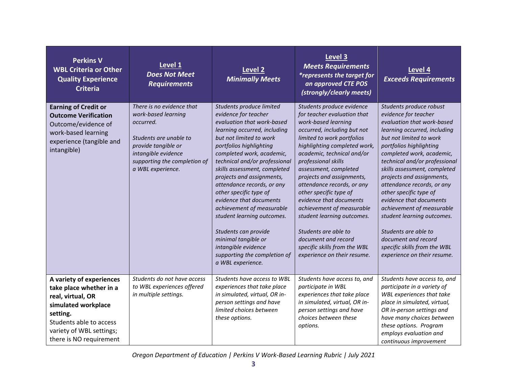| <b>Perkins V</b><br><b>WBL Criteria or Other</b><br><b>Quality Experience</b><br><b>Criteria</b>                                                                                              | Level 1<br><b>Does Not Meet</b><br><b>Requirements</b>                                                                                                                                     | Level <sub>2</sub><br><b>Minimally Meets</b>                                                                                                                                                                                                                                                                                                                                                                                                                                                                                                                             | Level 3<br><b>Meets Requirements</b><br><i>*represents the target for</i><br>an approved CTE POS<br>(strongly/clearly meets)                                                                                                                                                                                                                                                                                                                                                                                                                        | Level 4<br><b>Exceeds Requirements</b>                                                                                                                                                                                                                                                                                                                                                                                                                                                                                                                     |
|-----------------------------------------------------------------------------------------------------------------------------------------------------------------------------------------------|--------------------------------------------------------------------------------------------------------------------------------------------------------------------------------------------|--------------------------------------------------------------------------------------------------------------------------------------------------------------------------------------------------------------------------------------------------------------------------------------------------------------------------------------------------------------------------------------------------------------------------------------------------------------------------------------------------------------------------------------------------------------------------|-----------------------------------------------------------------------------------------------------------------------------------------------------------------------------------------------------------------------------------------------------------------------------------------------------------------------------------------------------------------------------------------------------------------------------------------------------------------------------------------------------------------------------------------------------|------------------------------------------------------------------------------------------------------------------------------------------------------------------------------------------------------------------------------------------------------------------------------------------------------------------------------------------------------------------------------------------------------------------------------------------------------------------------------------------------------------------------------------------------------------|
| <b>Earning of Credit or</b><br><b>Outcome Verification</b><br>Outcome/evidence of<br>work-based learning<br>experience (tangible and<br>intangible)                                           | There is no evidence that<br>work-based learning<br>occurred.<br>Students are unable to<br>provide tangible or<br>intangible evidence<br>supporting the completion of<br>a WBL experience. | Students produce limited<br>evidence for teacher<br>evaluation that work-based<br>learning occurred, including<br>but not limited to work<br>portfolios highlighting<br>completed work, academic,<br>technical and/or professional<br>skills assessment, completed<br>projects and assignments,<br>attendance records, or any<br>other specific type of<br>evidence that documents<br>achievement of measurable<br>student learning outcomes.<br>Students can provide<br>minimal tangible or<br>intangible evidence<br>supporting the completion of<br>a WBL experience. | Students produce evidence<br>for teacher evaluation that<br>work-based learning<br>occurred, including but not<br>limited to work portfolios<br>highlighting completed work,<br>academic, technical and/or<br>professional skills<br>assessment, completed<br>projects and assignments,<br>attendance records, or any<br>other specific type of<br>evidence that documents<br>achievement of measurable<br>student learning outcomes.<br>Students are able to<br>document and record<br>specific skills from the WBL<br>experience on their resume. | Students produce robust<br>evidence for teacher<br>evaluation that work-based<br>learning occurred, including<br>but not limited to work<br>portfolios highlighting<br>completed work, academic,<br>technical and/or professional<br>skills assessment, completed<br>projects and assignments,<br>attendance records, or any<br>other specific type of<br>evidence that documents<br>achievement of measurable<br>student learning outcomes.<br>Students are able to<br>document and record<br>specific skills from the WBL<br>experience on their resume. |
| A variety of experiences<br>take place whether in a<br>real, virtual, OR<br>simulated workplace<br>setting.<br>Students able to access<br>variety of WBL settings;<br>there is NO requirement | Students do not have access<br>to WBL experiences offered<br>in multiple settings.                                                                                                         | Students have access to WBL<br>experiences that take place<br>in simulated, virtual, OR in-<br>person settings and have<br>limited choices between<br>these options.                                                                                                                                                                                                                                                                                                                                                                                                     | Students have access to, and<br>participate in WBL<br>experiences that take place<br>in simulated, virtual, OR in-<br>person settings and have<br>choices between these<br>options.                                                                                                                                                                                                                                                                                                                                                                 | Students have access to, and<br>participate in a variety of<br>WBL experiences that take<br>place in simulated, virtual,<br>OR in-person settings and<br>have many choices between<br>these options. Program<br>employs evaluation and<br>continuous improvement                                                                                                                                                                                                                                                                                           |

*Oregon Department of Education | Perkins V Work-Based Learning Rubric | July 2021*